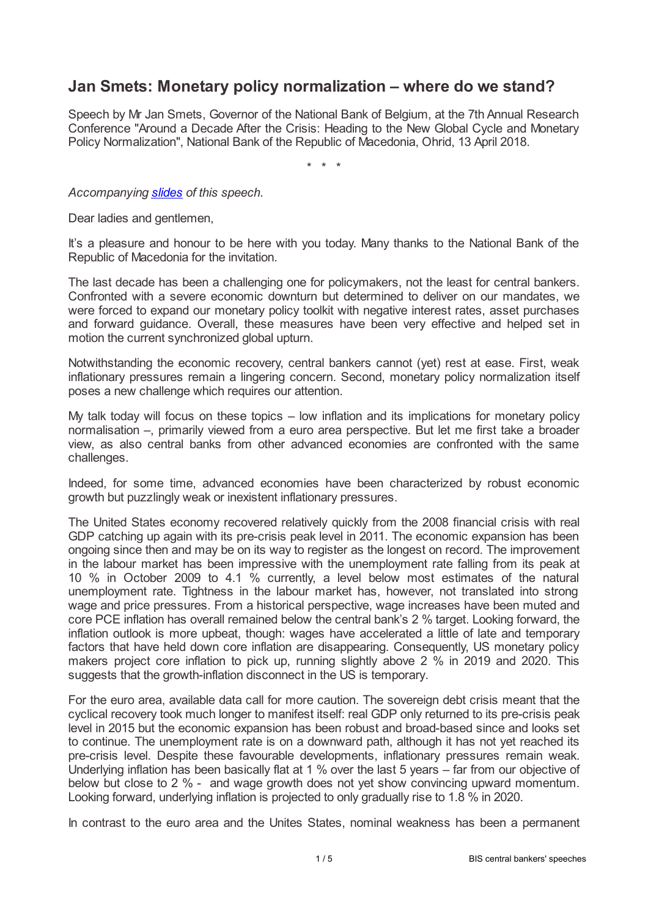## **Jan Smets: Monetary policy normalization – where do we stand?**

Speech by Mr Jan Smets, Governor of the National Bank of Belgium, at the 7th Annual Research Conference "Around a Decade After the Crisis: Heading to the New Global Cycle and Monetary Policy Normalization", National Bank of the Republic of Macedonia, Ohrid, 13 April 2018.

\* \* \*

*Accompanying [slides](www.bis.org/review/r180419c_slides) of this speech.*

Dear ladies and gentlemen,

It's a pleasure and honour to be here with you today. Many thanks to the National Bank of the Republic of Macedonia for the invitation.

The last decade has been a challenging one for policymakers, not the least for central bankers. Confronted with a severe economic downturn but determined to deliver on our mandates, we were forced to expand our monetary policy toolkit with negative interest rates, asset purchases and forward guidance. Overall, these measures have been very effective and helped set in motion the current synchronized global upturn.

Notwithstanding the economic recovery, central bankers cannot (yet) rest at ease. First, weak inflationary pressures remain a lingering concern. Second, monetary policy normalization itself poses a new challenge which requires our attention.

My talk today will focus on these topics – low inflation and its implications for monetary policy normalisation –, primarily viewed from a euro area perspective. But let me first take a broader view, as also central banks from other advanced economies are confronted with the same challenges.

Indeed, for some time, advanced economies have been characterized by robust economic growth but puzzlingly weak or inexistent inflationary pressures.

The United States economy recovered relatively quickly from the 2008 financial crisis with real GDP catching up again with its pre-crisis peak level in 2011. The economic expansion has been ongoing since then and may be on its way to register as the longest on record. The improvement in the labour market has been impressive with the unemployment rate falling from its peak at 10 % in October 2009 to 4.1 % currently, a level below most estimates of the natural unemployment rate. Tightness in the labour market has, however, not translated into strong wage and price pressures. From a historical perspective, wage increases have been muted and core PCE inflation has overall remained below the central bank's 2 % target. Looking forward, the inflation outlook is more upbeat, though: wages have accelerated a little of late and temporary factors that have held down core inflation are disappearing. Consequently, US monetary policy makers project core inflation to pick up, running slightly above 2 % in 2019 and 2020. This suggests that the growth-inflation disconnect in the US is temporary.

For the euro area, available data call for more caution. The sovereign debt crisis meant that the cyclical recovery took much longer to manifest itself: real GDP only returned to its pre-crisis peak level in 2015 but the economic expansion has been robust and broad-based since and looks set to continue. The unemployment rate is on a downward path, although it has not yet reached its pre-crisis level. Despite these favourable developments, inflationary pressures remain weak. Underlying inflation has been basically flat at 1 % over the last 5 years – far from our objective of below but close to 2 % - and wage growth does not yet show convincing upward momentum. Looking forward, underlying inflation is projected to only gradually rise to 1.8 % in 2020.

In contrast to the euro area and the Unites States, nominal weakness has been a permanent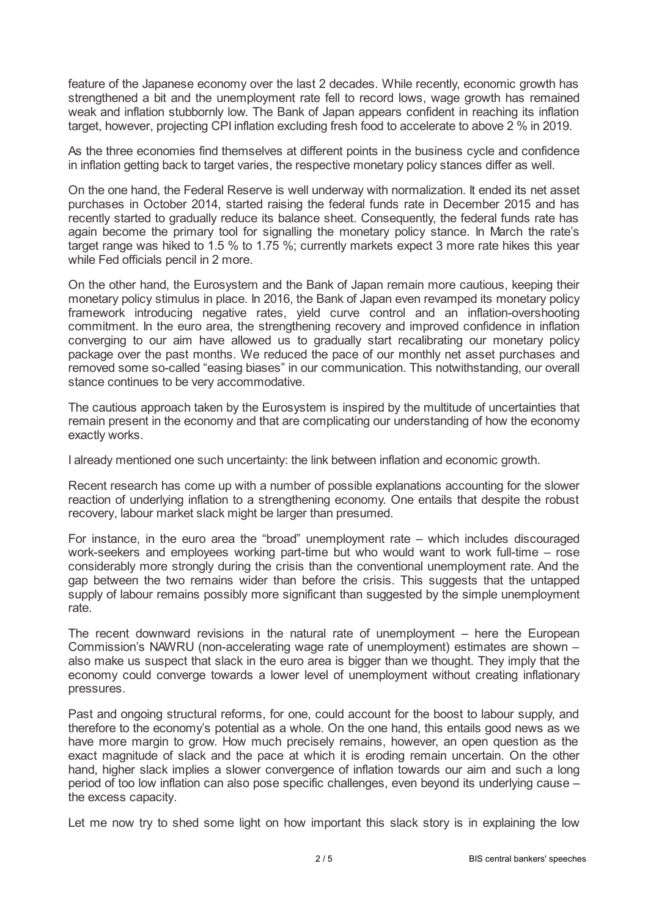feature of the Japanese economy over the last 2 decades. While recently, economic growth has strengthened a bit and the unemployment rate fell to record lows, wage growth has remained weak and inflation stubbornly low. The Bank of Japan appears confident in reaching its inflation target, however, projecting CPI inflation excluding fresh food to accelerate to above 2 % in 2019.

As the three economies find themselves at different points in the business cycle and confidence in inflation getting back to target varies, the respective monetary policy stances differ as well.

On the one hand, the Federal Reserve is well underway with normalization. It ended its net asset purchases in October 2014, started raising the federal funds rate in December 2015 and has recently started to gradually reduce its balance sheet. Consequently, the federal funds rate has again become the primary tool for signalling the monetary policy stance. In March the rate's target range was hiked to 1.5 % to 1.75 %; currently markets expect 3 more rate hikes this year while Fed officials pencil in 2 more.

On the other hand, the Eurosystem and the Bank of Japan remain more cautious, keeping their monetary policy stimulus in place. In 2016, the Bank of Japan even revamped its monetary policy framework introducing negative rates, yield curve control and an inflation-overshooting commitment. In the euro area, the strengthening recovery and improved confidence in inflation converging to our aim have allowed us to gradually start recalibrating our monetary policy package over the past months. We reduced the pace of our monthly net asset purchases and removed some so-called "easing biases" in our communication. This notwithstanding, our overall stance continues to be very accommodative.

The cautious approach taken by the Eurosystem is inspired by the multitude of uncertainties that remain present in the economy and that are complicating our understanding of how the economy exactly works.

I already mentioned one such uncertainty: the link between inflation and economic growth.

Recent research has come up with a number of possible explanations accounting for the slower reaction of underlying inflation to a strengthening economy. One entails that despite the robust recovery, labour market slack might be larger than presumed.

For instance, in the euro area the "broad" unemployment rate – which includes discouraged work-seekers and employees working part-time but who would want to work full-time – rose considerably more strongly during the crisis than the conventional unemployment rate. And the gap between the two remains wider than before the crisis. This suggests that the untapped supply of labour remains possibly more significant than suggested by the simple unemployment rate.

The recent downward revisions in the natural rate of unemployment – here the European Commission's NAWRU (non-accelerating wage rate of unemployment) estimates are shown – also make us suspect that slack in the euro area is bigger than we thought. They imply that the economy could converge towards a lower level of unemployment without creating inflationary pressures.

Past and ongoing structural reforms, for one, could account for the boost to labour supply, and therefore to the economy's potential as a whole. On the one hand, this entails good news as we have more margin to grow. How much precisely remains, however, an open question as the exact magnitude of slack and the pace at which it is eroding remain uncertain. On the other hand, higher slack implies a slower convergence of inflation towards our aim and such a long period of too low inflation can also pose specific challenges, even beyond its underlying cause – the excess capacity.

Let me now try to shed some light on how important this slack story is in explaining the low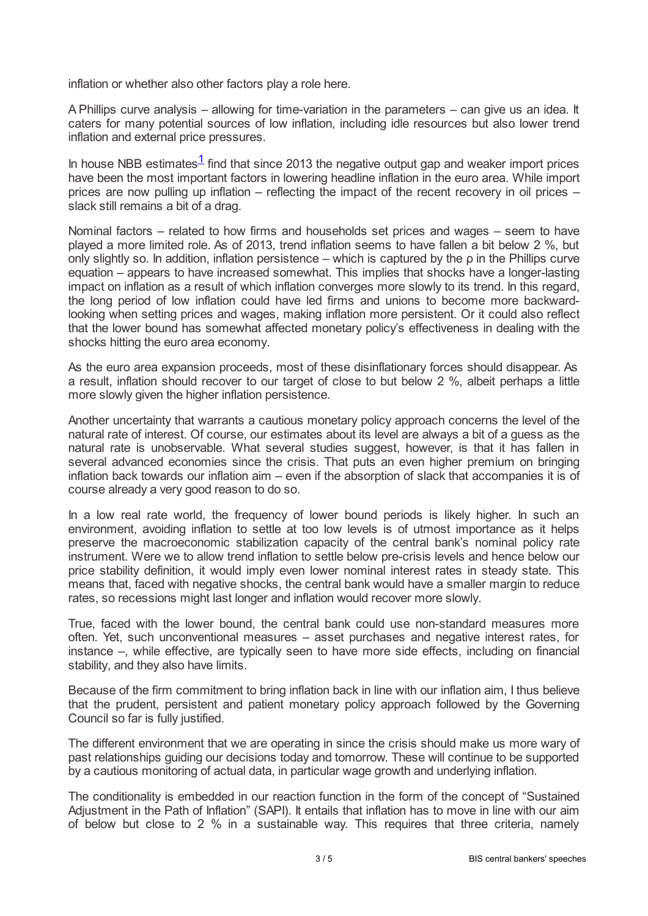inflation or whether also other factors play a role here.

A Phillips curve analysis – allowing for time-variation in the parameters – can give us an idea. It caters for many potential sources of low inflation, including idle resources but also lower trend inflation and external price pressures.

<span id="page-2-0"></span>In house NBB estimates $\frac{1}{1}$  $\frac{1}{1}$  $\frac{1}{1}$  find that since 2013 the negative output gap and weaker import prices have been the most important factors in lowering headline inflation in the euro area. While import prices are now pulling up inflation – reflecting the impact of the recent recovery in oil prices – slack still remains a bit of a drag.

Nominal factors – related to how firms and households set prices and wages – seem to have played a more limited role. As of 2013, trend inflation seems to have fallen a bit below 2 %, but only slightly so. In addition, inflation persistence – which is captured by the ρ in the Phillips curve equation – appears to have increased somewhat. This implies that shocks have a longer-lasting impact on inflation as a result of which inflation converges more slowly to its trend. In this regard, the long period of low inflation could have led firms and unions to become more backwardlooking when setting prices and wages, making inflation more persistent. Or it could also reflect that the lower bound has somewhat affected monetary policy's effectiveness in dealing with the shocks hitting the euro area economy.

As the euro area expansion proceeds, most of these disinflationary forces should disappear. As a result, inflation should recover to our target of close to but below 2 %, albeit perhaps a little more slowly given the higher inflation persistence.

Another uncertainty that warrants a cautious monetary policy approach concerns the level of the natural rate of interest. Of course, our estimates about its level are always a bit of a guess as the natural rate is unobservable. What several studies suggest, however, is that it has fallen in several advanced economies since the crisis. That puts an even higher premium on bringing inflation back towards our inflation aim – even if the absorption of slack that accompanies it is of course already a very good reason to do so.

In a low real rate world, the frequency of lower bound periods is likely higher. In such an environment, avoiding inflation to settle at too low levels is of utmost importance as it helps preserve the macroeconomic stabilization capacity of the central bank's nominal policy rate instrument. Were we to allow trend inflation to settle below pre-crisis levels and hence below our price stability definition, it would imply even lower nominal interest rates in steady state. This means that, faced with negative shocks, the central bank would have a smaller margin to reduce rates, so recessions might last longer and inflation would recover more slowly.

True, faced with the lower bound, the central bank could use non-standard measures more often. Yet, such unconventional measures – asset purchases and negative interest rates, for instance –, while effective, are typically seen to have more side effects, including on financial stability, and they also have limits.

Because of the firm commitment to bring inflation back in line with our inflation aim, I thus believe that the prudent, persistent and patient monetary policy approach followed by the Governing Council so far is fully justified.

The different environment that we are operating in since the crisis should make us more wary of past relationships guiding our decisions today and tomorrow. These will continue to be supported by a cautious monitoring of actual data, in particular wage growth and underlying inflation.

The conditionality is embedded in our reaction function in the form of the concept of "Sustained Adjustment in the Path of Inflation" (SAPI). It entails that inflation has to move in line with our aim of below but close to 2 % in a sustainable way. This requires that three criteria, namely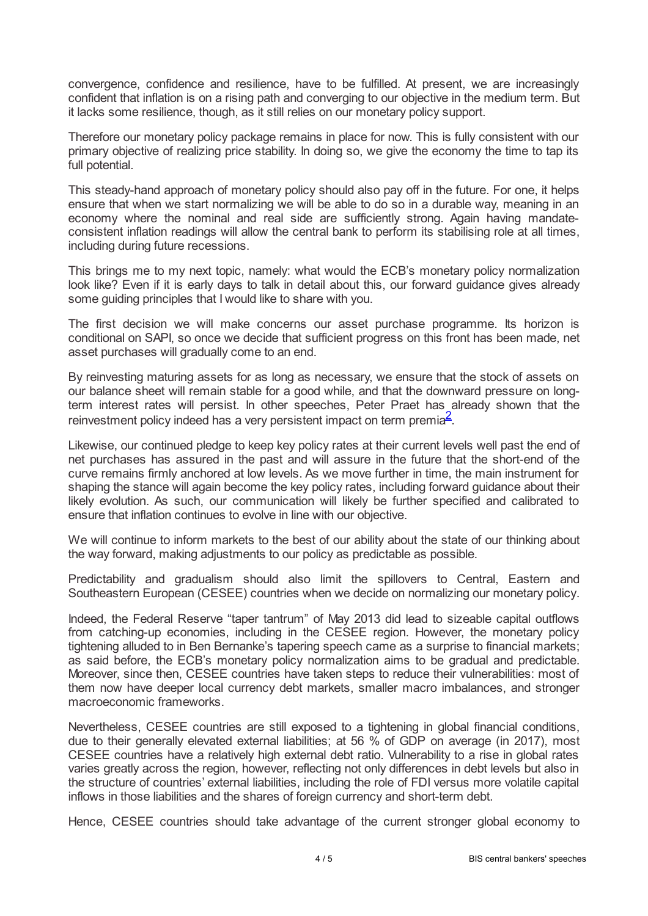convergence, confidence and resilience, have to be fulfilled. At present, we are increasingly confident that inflation is on a rising path and converging to our objective in the medium term. But it lacks some resilience, though, as it still relies on our monetary policy support.

Therefore our monetary policy package remains in place for now. This is fully consistent with our primary objective of realizing price stability. In doing so, we give the economy the time to tap its full potential.

This steady-hand approach of monetary policy should also pay off in the future. For one, it helps ensure that when we start normalizing we will be able to do so in a durable way, meaning in an economy where the nominal and real side are sufficiently strong. Again having mandateconsistent inflation readings will allow the central bank to perform its stabilising role at all times, including during future recessions.

This brings me to my next topic, namely: what would the ECB's monetary policy normalization look like? Even if it is early days to talk in detail about this, our forward guidance gives already some guiding principles that I would like to share with you.

The first decision we will make concerns our asset purchase programme. Its horizon is conditional on SAPI, so once we decide that sufficient progress on this front has been made, net asset purchases will gradually come to an end.

By reinvesting maturing assets for as long as necessary, we ensure that the stock of assets on our balance sheet will remain stable for a good while, and that the downward pressure on longterm interest rates will persist. In other speeches, Peter Praet has already shown that the reinvestment policy indeed has a very persistent impact on term premia<sup>[2](#page-4-1)</sup>.

<span id="page-3-0"></span>Likewise, our continued pledge to keep key policy rates at their current levels well past the end of net purchases has assured in the past and will assure in the future that the short-end of the curve remains firmly anchored at low levels. As we move further in time, the main instrument for shaping the stance will again become the key policy rates, including forward guidance about their likely evolution. As such, our communication will likely be further specified and calibrated to ensure that inflation continues to evolve in line with our objective.

We will continue to inform markets to the best of our ability about the state of our thinking about the way forward, making adjustments to our policy as predictable as possible.

Predictability and gradualism should also limit the spillovers to Central, Eastern and Southeastern European (CESEE) countries when we decide on normalizing our monetary policy.

Indeed, the Federal Reserve "taper tantrum" of May 2013 did lead to sizeable capital outflows from catching-up economies, including in the CESEE region. However, the monetary policy tightening alluded to in Ben Bernanke's tapering speech came as a surprise to financial markets; as said before, the ECB's monetary policy normalization aims to be gradual and predictable. Moreover, since then, CESEE countries have taken steps to reduce their vulnerabilities: most of them now have deeper local currency debt markets, smaller macro imbalances, and stronger macroeconomic frameworks.

Nevertheless, CESEE countries are still exposed to a tightening in global financial conditions, due to their generally elevated external liabilities; at 56 % of GDP on average (in 2017), most CESEE countries have a relatively high external debt ratio. Vulnerability to a rise in global rates varies greatly across the region, however, reflecting not only differences in debt levels but also in the structure of countries' external liabilities, including the role of FDI versus more volatile capital inflows in those liabilities and the shares of foreign currency and short-term debt.

Hence, CESEE countries should take advantage of the current stronger global economy to